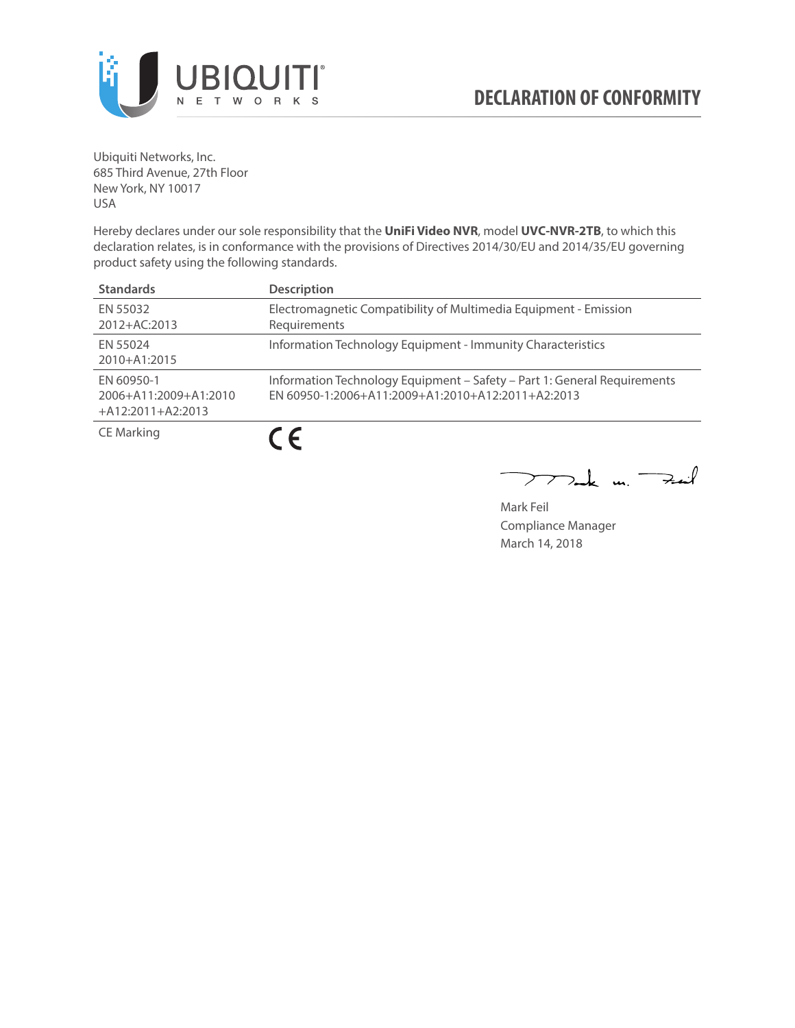

Ubiquiti Networks, Inc. 685 Third Avenue, 27th Floor New York, NY 10017 USA

Hereby declares under our sole responsibility that the **UniFi Video NVR**, model **UVC-NVR-2TB**, to which this declaration relates, is in conformance with the provisions of Directives 2014/30/EU and 2014/35/EU governing product safety using the following standards.

| <b>Standards</b>                                           | <b>Description</b>                                                                                                            |
|------------------------------------------------------------|-------------------------------------------------------------------------------------------------------------------------------|
| EN 55032<br>2012+AC:2013                                   | Electromagnetic Compatibility of Multimedia Equipment - Emission<br>Requirements                                              |
| EN 55024<br>2010+A1:2015                                   | Information Technology Equipment - Immunity Characteristics                                                                   |
| EN 60950-1<br>2006+A11:2009+A1:2010<br>$+A12:2011+A2:2013$ | Information Technology Equipment - Safety - Part 1: General Requirements<br>EN 60950-1:2006+A11:2009+A1:2010+A12:2011+A2:2013 |
| <b>CE Marking</b>                                          |                                                                                                                               |

 $\frac{1}{2}$  m  $-$ كمنعة

Mark Feil Compliance Manager March 14, 2018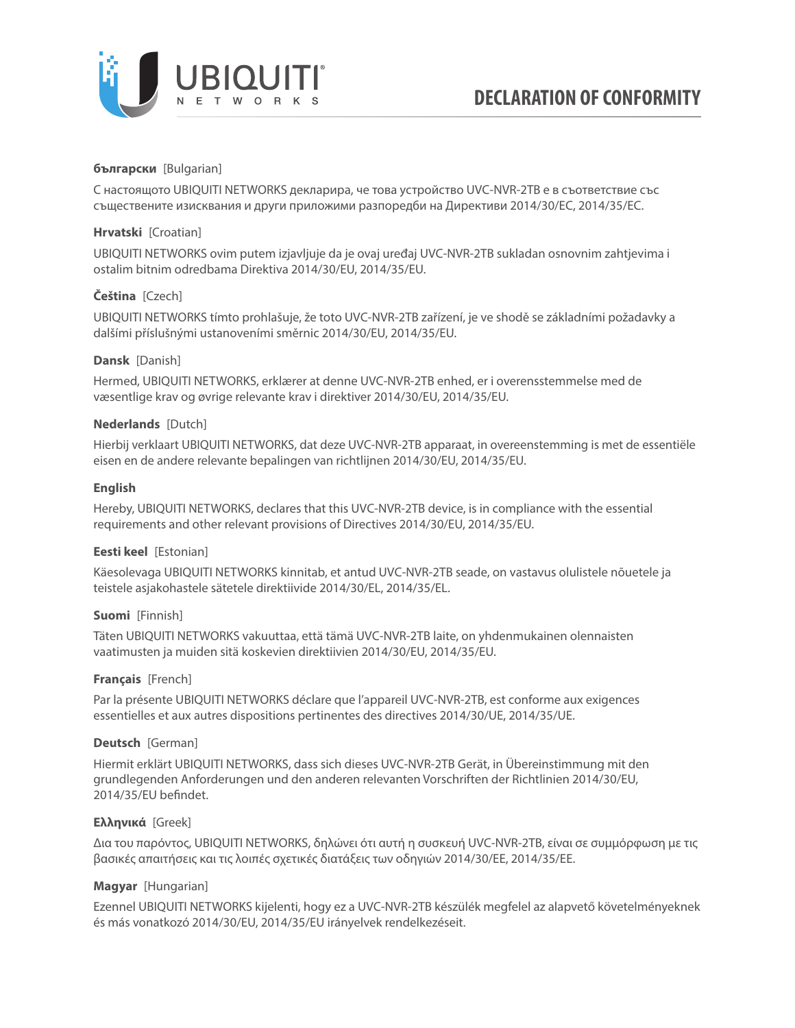

# **български** [Bulgarian]

С настоящото UBIQUITI NETWORKS декларира, че това устройство UVC-NVR-2TB е в съответствие със съществените изисквания и други приложими разпоредби на Директиви 2014/30/ЕС, 2014/35/ЕС.

# **Hrvatski** [Croatian]

UBIQUITI NETWORKS ovim putem izjavljuje da je ovaj uređaj UVC-NVR-2TB sukladan osnovnim zahtjevima i ostalim bitnim odredbama Direktiva 2014/30/EU, 2014/35/EU.

# **Čeština** [Czech]

UBIQUITI NETWORKS tímto prohlašuje, že toto UVC-NVR-2TB zařízení, je ve shodě se základními požadavky a dalšími příslušnými ustanoveními směrnic 2014/30/EU, 2014/35/EU.

# **Dansk** [Danish]

Hermed, UBIQUITI NETWORKS, erklærer at denne UVC-NVR-2TB enhed, er i overensstemmelse med de væsentlige krav og øvrige relevante krav i direktiver 2014/30/EU, 2014/35/EU.

# **Nederlands** [Dutch]

Hierbij verklaart UBIQUITI NETWORKS, dat deze UVC-NVR-2TB apparaat, in overeenstemming is met de essentiële eisen en de andere relevante bepalingen van richtlijnen 2014/30/EU, 2014/35/EU.

# **English**

Hereby, UBIQUITI NETWORKS, declares that this UVC-NVR-2TB device, is in compliance with the essential requirements and other relevant provisions of Directives 2014/30/EU, 2014/35/EU.

# **Eesti keel** [Estonian]

Käesolevaga UBIQUITI NETWORKS kinnitab, et antud UVC-NVR-2TB seade, on vastavus olulistele nõuetele ja teistele asjakohastele sätetele direktiivide 2014/30/EL, 2014/35/EL.

# **Suomi** [Finnish]

Täten UBIQUITI NETWORKS vakuuttaa, että tämä UVC-NVR-2TB laite, on yhdenmukainen olennaisten vaatimusten ja muiden sitä koskevien direktiivien 2014/30/EU, 2014/35/EU.

# **Français** [French]

Par la présente UBIQUITI NETWORKS déclare que l'appareil UVC-NVR-2TB, est conforme aux exigences essentielles et aux autres dispositions pertinentes des directives 2014/30/UE, 2014/35/UE.

# **Deutsch** [German]

Hiermit erklärt UBIQUITI NETWORKS, dass sich dieses UVC-NVR-2TB Gerät, in Übereinstimmung mit den grundlegenden Anforderungen und den anderen relevanten Vorschriften der Richtlinien 2014/30/EU, 2014/35/EU befindet.

# **Ελληνικά** [Greek]

Δια του παρόντος, UBIQUITI NETWORKS, δηλώνει ότι αυτή η συσκευή UVC-NVR-2TB, είναι σε συμμόρφωση με τις βασικές απαιτήσεις και τις λοιπές σχετικές διατάξεις των οδηγιών 2014/30/EE, 2014/35/EE.

# **Magyar** [Hungarian]

Ezennel UBIQUITI NETWORKS kijelenti, hogy ez a UVC-NVR-2TB készülék megfelel az alapvető követelményeknek és más vonatkozó 2014/30/EU, 2014/35/EU irányelvek rendelkezéseit.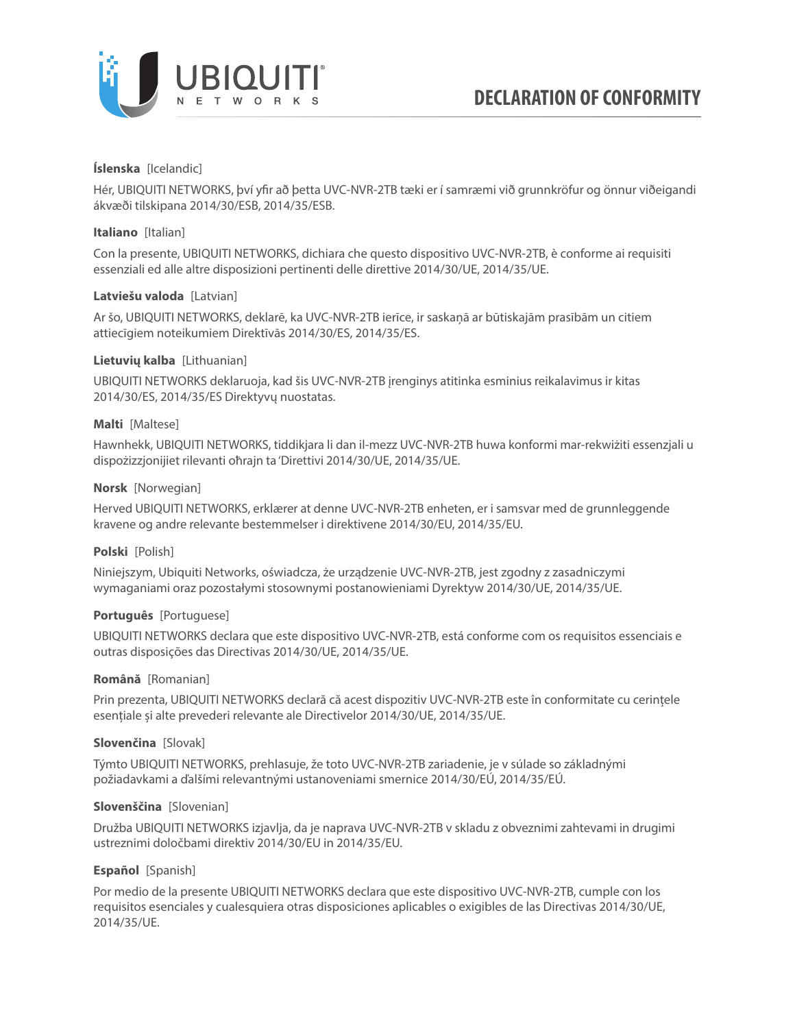

# **Íslenska** [Icelandic]

Hér, UBIQUITI NETWORKS, því yfir að þetta UVC-NVR-2TB tæki er í samræmi við grunnkröfur og önnur viðeigandi ákvæði tilskipana 2014/30/ESB, 2014/35/ESB.

#### **Italiano** [Italian]

Con la presente, UBIQUITI NETWORKS, dichiara che questo dispositivo UVC-NVR-2TB, è conforme ai requisiti essenziali ed alle altre disposizioni pertinenti delle direttive 2014/30/UE, 2014/35/UE.

#### **Latviešu valoda** [Latvian]

Ar šo, UBIQUITI NETWORKS, deklarē, ka UVC-NVR-2TB ierīce, ir saskaņā ar būtiskajām prasībām un citiem attiecīgiem noteikumiem Direktīvās 2014/30/ES, 2014/35/ES.

# **Lietuvių kalba** [Lithuanian]

UBIQUITI NETWORKS deklaruoja, kad šis UVC-NVR-2TB įrenginys atitinka esminius reikalavimus ir kitas 2014/30/ES, 2014/35/ES Direktyvų nuostatas.

#### **Malti** [Maltese]

Hawnhekk, UBIQUITI NETWORKS, tiddikjara li dan il-mezz UVC-NVR-2TB huwa konformi mar-rekwiżiti essenzjali u dispożizzjonijiet rilevanti oħrajn ta 'Direttivi 2014/30/UE, 2014/35/UE.

#### **Norsk** [Norwegian]

Herved UBIQUITI NETWORKS, erklærer at denne UVC-NVR-2TB enheten, er i samsvar med de grunnleggende kravene og andre relevante bestemmelser i direktivene 2014/30/EU, 2014/35/EU.

#### **Polski** [Polish]

Niniejszym, Ubiquiti Networks, oświadcza, że urządzenie UVC-NVR-2TB, jest zgodny z zasadniczymi wymaganiami oraz pozostałymi stosownymi postanowieniami Dyrektyw 2014/30/UE, 2014/35/UE.

#### **Português** [Portuguese]

UBIQUITI NETWORKS declara que este dispositivo UVC-NVR-2TB, está conforme com os requisitos essenciais e outras disposições das Directivas 2014/30/UE, 2014/35/UE.

#### **Română** [Romanian]

Prin prezenta, UBIQUITI NETWORKS declară că acest dispozitiv UVC-NVR-2TB este în conformitate cu cerințele esențiale și alte prevederi relevante ale Directivelor 2014/30/UE, 2014/35/UE.

#### **Slovenčina** [Slovak]

Týmto UBIQUITI NETWORKS, prehlasuje, že toto UVC-NVR-2TB zariadenie, je v súlade so základnými požiadavkami a ďalšími relevantnými ustanoveniami smernice 2014/30/EÚ, 2014/35/EÚ.

#### **Slovenščina** [Slovenian]

Družba UBIQUITI NETWORKS izjavlja, da je naprava UVC-NVR-2TB v skladu z obveznimi zahtevami in drugimi ustreznimi določbami direktiv 2014/30/EU in 2014/35/EU.

# **Español** [Spanish]

Por medio de la presente UBIQUITI NETWORKS declara que este dispositivo UVC-NVR-2TB, cumple con los requisitos esenciales y cualesquiera otras disposiciones aplicables o exigibles de las Directivas 2014/30/UE, 2014/35/UE.